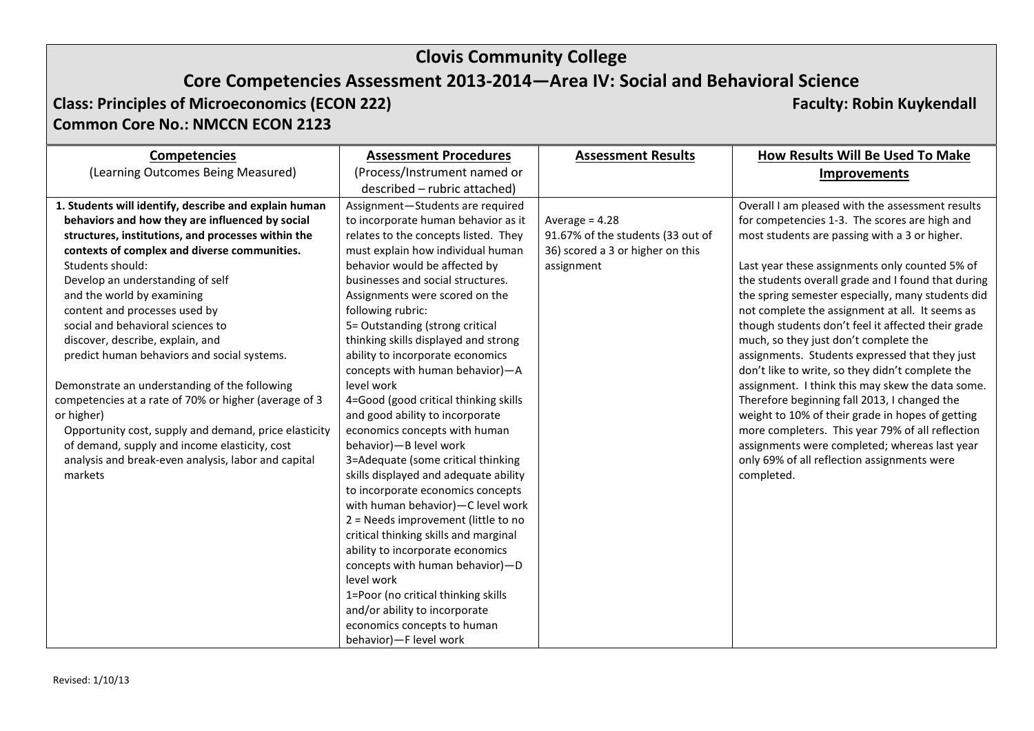# **Clovis Community College**

# **Core Competencies Assessment 2013-2014—Area IV: Social and Behavioral Science**

**Class: Principles of Microeconomics (ECON 222) Faculty: Robin Kuykendall Common Core No.: NMCCN ECON 2123**

| <b>Competencies</b>                                   | <b>Assessment Procedures</b>          | <b>Assessment Results</b>         | How Results Will Be Used To Make                   |
|-------------------------------------------------------|---------------------------------------|-----------------------------------|----------------------------------------------------|
| (Learning Outcomes Being Measured)                    | (Process/Instrument named or          |                                   | <b>Improvements</b>                                |
|                                                       | described - rubric attached)          |                                   |                                                    |
| 1. Students will identify, describe and explain human | Assignment-Students are required      |                                   | Overall I am pleased with the assessment results   |
| behaviors and how they are influenced by social       | to incorporate human behavior as it   | Average = $4.28$                  | for competencies 1-3. The scores are high and      |
| structures, institutions, and processes within the    | relates to the concepts listed. They  | 91.67% of the students (33 out of | most students are passing with a 3 or higher.      |
| contexts of complex and diverse communities.          | must explain how individual human     | 36) scored a 3 or higher on this  |                                                    |
| Students should:                                      | behavior would be affected by         | assignment                        | Last year these assignments only counted 5% of     |
| Develop an understanding of self                      | businesses and social structures.     |                                   | the students overall grade and I found that during |
| and the world by examining                            | Assignments were scored on the        |                                   | the spring semester especially, many students did  |
| content and processes used by                         | following rubric:                     |                                   | not complete the assignment at all. It seems as    |
| social and behavioral sciences to                     | 5= Outstanding (strong critical       |                                   | though students don't feel it affected their grade |
| discover, describe, explain, and                      | thinking skills displayed and strong  |                                   | much, so they just don't complete the              |
| predict human behaviors and social systems.           | ability to incorporate economics      |                                   | assignments. Students expressed that they just     |
|                                                       | concepts with human behavior)-A       |                                   | don't like to write, so they didn't complete the   |
| Demonstrate an understanding of the following         | level work                            |                                   | assignment. I think this may skew the data some.   |
| competencies at a rate of 70% or higher (average of 3 | 4=Good (good critical thinking skills |                                   | Therefore beginning fall 2013, I changed the       |
| or higher)                                            | and good ability to incorporate       |                                   | weight to 10% of their grade in hopes of getting   |
| Opportunity cost, supply and demand, price elasticity | economics concepts with human         |                                   | more completers. This year 79% of all reflection   |
| of demand, supply and income elasticity, cost         | behavior)-B level work                |                                   | assignments were completed; whereas last year      |
| analysis and break-even analysis, labor and capital   | 3=Adequate (some critical thinking    |                                   | only 69% of all reflection assignments were        |
| markets                                               | skills displayed and adequate ability |                                   | completed.                                         |
|                                                       | to incorporate economics concepts     |                                   |                                                    |
|                                                       | with human behavior)-C level work     |                                   |                                                    |
|                                                       | 2 = Needs improvement (little to no   |                                   |                                                    |
|                                                       | critical thinking skills and marginal |                                   |                                                    |
|                                                       | ability to incorporate economics      |                                   |                                                    |
|                                                       | concepts with human behavior)-D       |                                   |                                                    |
|                                                       | level work                            |                                   |                                                    |
|                                                       | 1=Poor (no critical thinking skills   |                                   |                                                    |
|                                                       | and/or ability to incorporate         |                                   |                                                    |
|                                                       | economics concepts to human           |                                   |                                                    |
|                                                       | behavior)-F level work                |                                   |                                                    |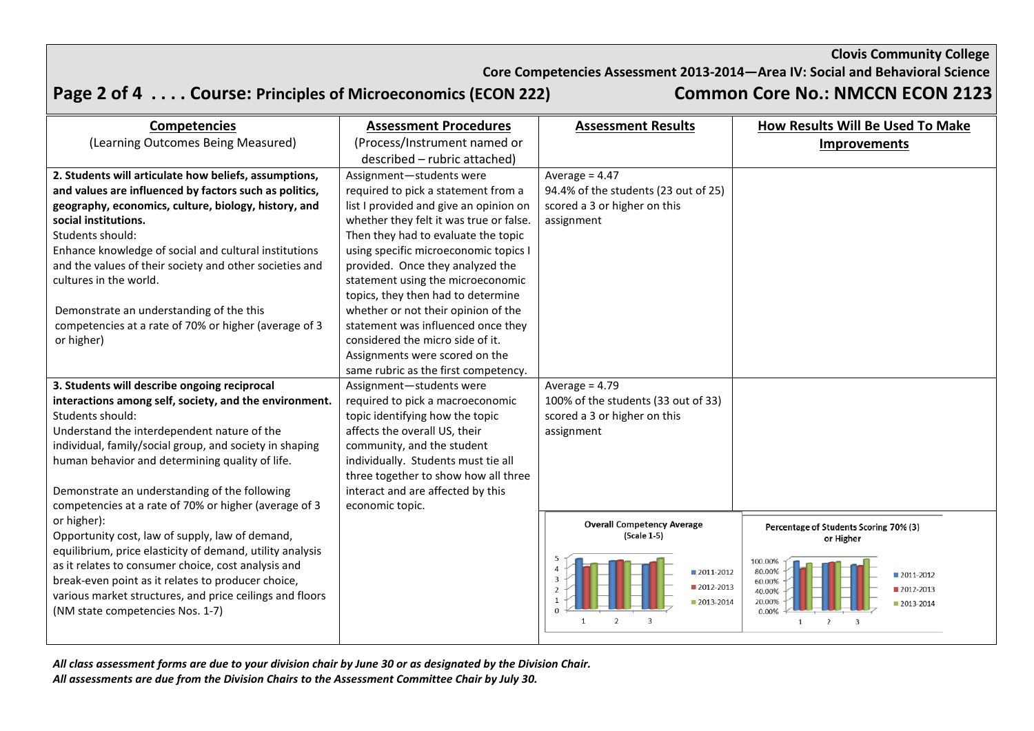**Clovis Community College**

**Core Competencies Assessment 2013-2014—Area IV: Social and Behavioral Science**

**Page 2 of 4 . . . . Course: Principles of Microeconomics (ECON 222) Common Core No.: NMCCN ECON 2123**

| <b>Competencies</b>                                                                          | <b>Assessment Procedures</b>            | <b>Assessment Results</b>            | How Results Will Be Used To Make       |
|----------------------------------------------------------------------------------------------|-----------------------------------------|--------------------------------------|----------------------------------------|
| (Learning Outcomes Being Measured)                                                           | (Process/Instrument named or            |                                      | <b>Improvements</b>                    |
|                                                                                              | described - rubric attached)            |                                      |                                        |
| 2. Students will articulate how beliefs, assumptions,                                        | Assignment-students were                | Average = $4.47$                     |                                        |
| and values are influenced by factors such as politics,                                       | required to pick a statement from a     | 94.4% of the students (23 out of 25) |                                        |
| geography, economics, culture, biology, history, and                                         | list I provided and give an opinion on  | scored a 3 or higher on this         |                                        |
| social institutions.                                                                         | whether they felt it was true or false. | assignment                           |                                        |
| Students should:                                                                             | Then they had to evaluate the topic     |                                      |                                        |
| Enhance knowledge of social and cultural institutions                                        | using specific microeconomic topics I   |                                      |                                        |
| and the values of their society and other societies and                                      | provided. Once they analyzed the        |                                      |                                        |
| cultures in the world.                                                                       | statement using the microeconomic       |                                      |                                        |
|                                                                                              | topics, they then had to determine      |                                      |                                        |
| Demonstrate an understanding of the this                                                     | whether or not their opinion of the     |                                      |                                        |
| competencies at a rate of 70% or higher (average of 3                                        | statement was influenced once they      |                                      |                                        |
| or higher)                                                                                   | considered the micro side of it.        |                                      |                                        |
|                                                                                              | Assignments were scored on the          |                                      |                                        |
|                                                                                              | same rubric as the first competency.    |                                      |                                        |
| 3. Students will describe ongoing reciprocal                                                 | Assignment-students were                | Average = $4.79$                     |                                        |
| interactions among self, society, and the environment.                                       | required to pick a macroeconomic        | 100% of the students (33 out of 33)  |                                        |
| Students should:                                                                             | topic identifying how the topic         | scored a 3 or higher on this         |                                        |
| Understand the interdependent nature of the                                                  | affects the overall US, their           | assignment                           |                                        |
| individual, family/social group, and society in shaping                                      | community, and the student              |                                      |                                        |
| human behavior and determining quality of life.                                              | individually. Students must tie all     |                                      |                                        |
|                                                                                              | three together to show how all three    |                                      |                                        |
| Demonstrate an understanding of the following                                                | interact and are affected by this       |                                      |                                        |
| competencies at a rate of 70% or higher (average of 3                                        | economic topic.                         |                                      |                                        |
| or higher):                                                                                  |                                         | <b>Overall Competency Average</b>    | Percentage of Students Scoring 70% (3) |
| Opportunity cost, law of supply, law of demand,                                              |                                         | (Scale 1-5)                          | or Higher                              |
| equilibrium, price elasticity of demand, utility analysis                                    |                                         |                                      | 100.00%                                |
| as it relates to consumer choice, cost analysis and                                          |                                         | 2011-2012                            | 80.00%<br>2011-2012                    |
| break-even point as it relates to producer choice,                                           |                                         | 2012-2013                            | 60.00%<br>■ 2012-2013<br>40.00%        |
| various market structures, and price ceilings and floors<br>(NM state competencies Nos. 1-7) |                                         | 2013-2014                            | 20.009<br>2013-2014<br>0.00%           |
|                                                                                              |                                         |                                      |                                        |
|                                                                                              |                                         |                                      |                                        |

*All class assessment forms are due to your division chair by June 30 or as designated by the Division Chair. All assessments are due from the Division Chairs to the Assessment Committee Chair by July 30.*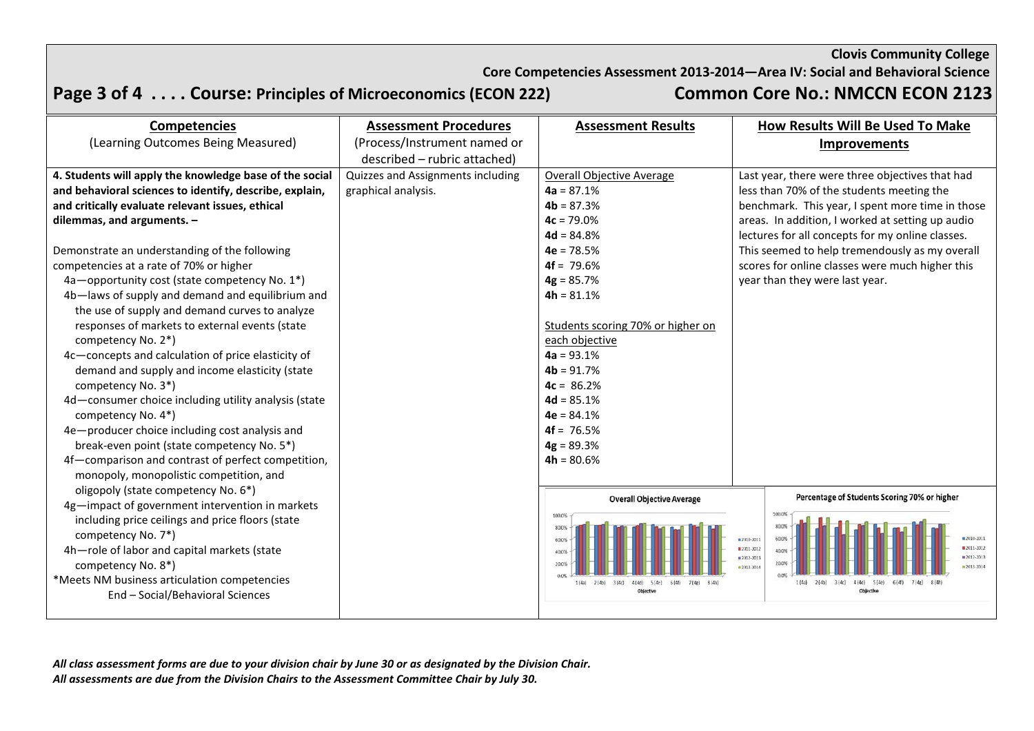### **Clovis Community College**

**Core Competencies Assessment 2013-2014—Area IV: Social and Behavioral Science**

# **Page 3 of 4 . . . . Course: Principles of Microeconomics (ECON 222) Common Core No.: NMCCN ECON 2123**

| <b>Competencies</b>                                     | <b>Assessment Procedures</b>      | <b>Assessment Results</b>         |                            | How Results Will Be Used To Make                 |
|---------------------------------------------------------|-----------------------------------|-----------------------------------|----------------------------|--------------------------------------------------|
| (Learning Outcomes Being Measured)                      | (Process/Instrument named or      |                                   |                            | <b>Improvements</b>                              |
|                                                         | described - rubric attached)      |                                   |                            |                                                  |
| 4. Students will apply the knowledge base of the social | Quizzes and Assignments including | <b>Overall Objective Average</b>  |                            | Last year, there were three objectives that had  |
| and behavioral sciences to identify, describe, explain, | graphical analysis.               | $4a = 87.1%$                      |                            | less than 70% of the students meeting the        |
| and critically evaluate relevant issues, ethical        |                                   | $4b = 87.3%$                      |                            | benchmark. This year, I spent more time in those |
| dilemmas, and arguments. $-$                            |                                   | $4c = 79.0%$                      |                            | areas. In addition, I worked at setting up audio |
|                                                         |                                   | $4d = 84.8%$                      |                            | lectures for all concepts for my online classes. |
| Demonstrate an understanding of the following           |                                   | $4e = 78.5%$                      |                            | This seemed to help tremendously as my overall   |
| competencies at a rate of 70% or higher                 |                                   | $4f = 79.6%$                      |                            | scores for online classes were much higher this  |
| 4a-opportunity cost (state competency No. 1*)           |                                   | $4g = 85.7%$                      |                            | year than they were last year.                   |
| 4b-laws of supply and demand and equilibrium and        |                                   | $4h = 81.1%$                      |                            |                                                  |
| the use of supply and demand curves to analyze          |                                   |                                   |                            |                                                  |
| responses of markets to external events (state          |                                   | Students scoring 70% or higher on |                            |                                                  |
| competency No. 2*)                                      |                                   | each objective                    |                            |                                                  |
| 4c-concepts and calculation of price elasticity of      |                                   | $4a = 93.1%$                      |                            |                                                  |
| demand and supply and income elasticity (state          |                                   | $4b = 91.7%$                      |                            |                                                  |
| competency No. 3*)                                      |                                   | $4c = 86.2%$                      |                            |                                                  |
| 4d-consumer choice including utility analysis (state    |                                   | $4d = 85.1%$                      |                            |                                                  |
| competency No. 4*)                                      |                                   | $4e = 84.1%$                      |                            |                                                  |
| 4e-producer choice including cost analysis and          |                                   | $4f = 76.5%$                      |                            |                                                  |
| break-even point (state competency No. 5*)              |                                   | $4g = 89.3%$                      |                            |                                                  |
| 4f-comparison and contrast of perfect competition,      |                                   | $4h = 80.6%$                      |                            |                                                  |
| monopoly, monopolistic competition, and                 |                                   |                                   |                            |                                                  |
| oligopoly (state competency No. 6*)                     |                                   | <b>Overall Objective Average</b>  |                            | Percentage of Students Scoring 70% or higher     |
| 4g-impact of government intervention in markets         |                                   | 100.0%                            |                            | 100.0%                                           |
| including price ceilings and price floors (state        |                                   | 80.09                             |                            | 80.0%                                            |
| competency No. 7*)                                      |                                   | 60.03                             | ■ 2010-2011                | ■ 2010-2011<br>60.0%                             |
| 4h-role of labor and capital markets (state             |                                   | 40.0%                             | ■ 2011-2012<br>■ 2012-2013 | $2011 - 2012$<br>$\equiv$ 2012-2013              |
| competency No. 8*)                                      |                                   | 20.07                             | #2013-2014                 | $2013 - 2014$                                    |
| *Meets NM business articulation competencies            |                                   | 3(4c)<br>4(4c)<br>5(4e)           |                            | 4(4d)<br>5(4e)                                   |
| End - Social/Behavioral Sciences                        |                                   |                                   |                            |                                                  |

*All class assessment forms are due to your division chair by June 30 or as designated by the Division Chair. All assessments are due from the Division Chairs to the Assessment Committee Chair by July 30.*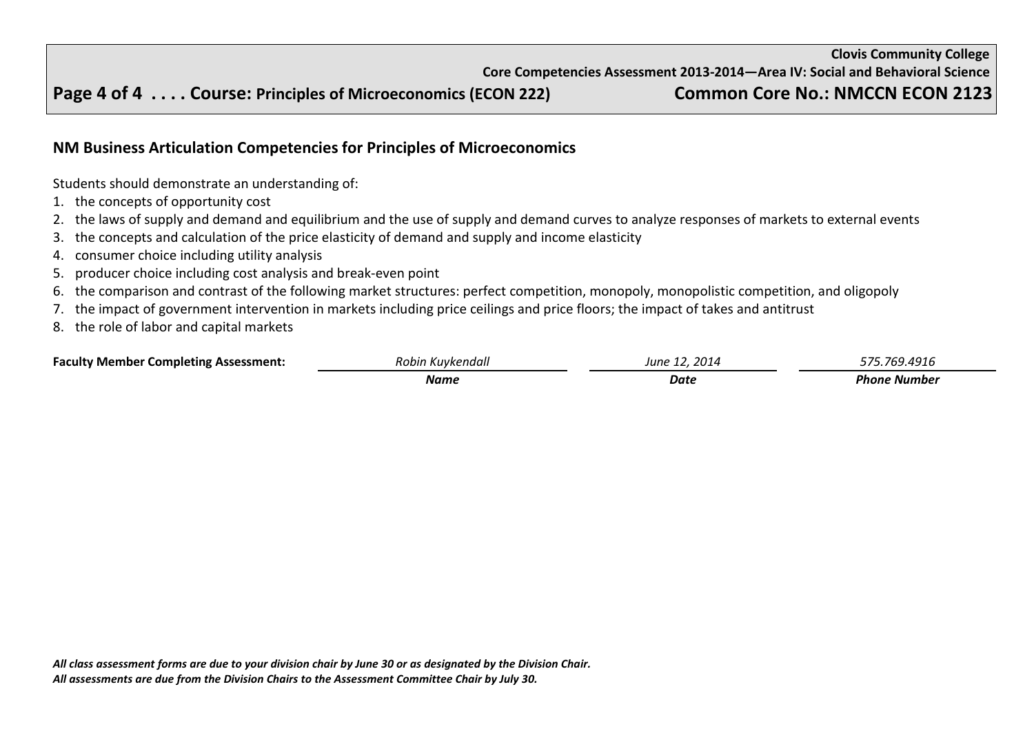## **Page 4 of 4 . . . . Course: Principles of Microeconomics (ECON 222) Common Core No.: NMCCN ECON 2123**

## **NM Business Articulation Competencies for Principles of Microeconomics**

Students should demonstrate an understanding of:

- 1. the concepts of opportunity cost
- 2. the laws of supply and demand and equilibrium and the use of supply and demand curves to analyze responses of markets to external events
- 3. the concepts and calculation of the price elasticity of demand and supply and income elasticity
- 4. consumer choice including utility analysis
- 5. producer choice including cost analysis and break-even point
- 6. the comparison and contrast of the following market structures: perfect competition, monopoly, monopolistic competition, and oligopoly
- 7. the impact of government intervention in markets including price ceilings and price floors; the impact of takes and antitrust
- 8. the role of labor and capital markets

| <b>Faculty Member Completing Assessment:</b> | Robin Kuvkendall | 2014<br>June ? | 1191'        |
|----------------------------------------------|------------------|----------------|--------------|
|                                              | Name             | <b>Date</b>    | Phone Number |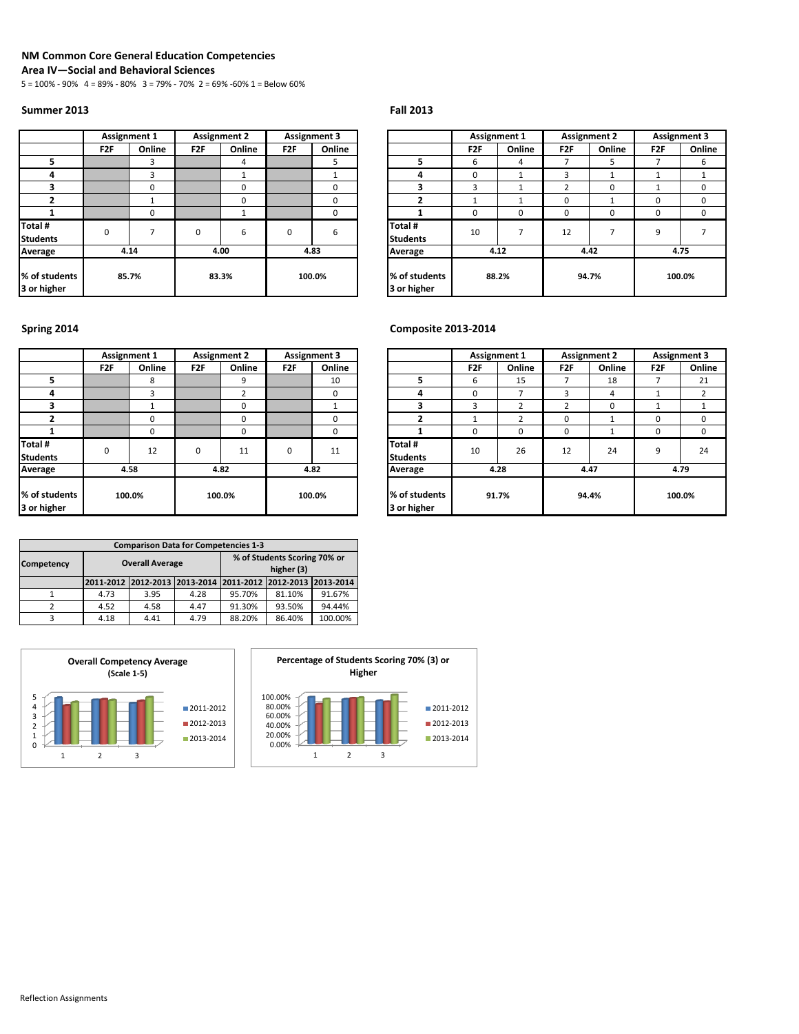### **NM Common Core General Education Competencies**

**Area IV—Social and Behavioral Sciences**

5 = 100% - 90% 4 = 89% - 80% 3 = 79% - 70% 2 = 69% -60% 1 = Below 60%

### **Summer 2013 Fall 2013**

|                              | <b>Assignment 1</b> |          |                 | <b>Assignment 2</b> |                 | <b>Assignment 3</b> |                        |
|------------------------------|---------------------|----------|-----------------|---------------------|-----------------|---------------------|------------------------|
|                              | F <sub>2F</sub>     | Online   | F <sub>2F</sub> | Online              | F <sub>2F</sub> | Online              |                        |
| 5                            |                     | 3        |                 | 4                   |                 | 5                   | 5                      |
| 4                            |                     | 3        |                 |                     |                 |                     | 4                      |
| 3                            |                     | $\Omega$ |                 | $\Omega$            |                 | $\Omega$            | 3                      |
| $\overline{2}$               |                     |          |                 | $\Omega$            |                 | 0                   | $\mathbf{2}$           |
|                              |                     | $\Omega$ |                 |                     |                 | 0                   |                        |
| Total #                      | $\mathbf 0$         |          | 0               | 6                   |                 |                     | Total #                |
| <b>Students</b>              |                     |          |                 |                     | $\mathbf 0$     | 6                   | <b>Students</b>        |
| Average                      |                     | 4.14     |                 | 4.00                |                 | 4.83                | Average                |
| % of students<br>3 or higher | 85.7%               |          |                 | 83.3%               |                 | 100.0%              | % of stuc<br>3 or high |

### **F2F Online F2F Online F2F Online F2F Online F2F Online F2F Online 5** 3 4 5 **5** 6 4 7 5 7 6 **4 1 4 1 4 1 4 1 1 1 1 1 1 1 1 1 3** 0 0 0 **3** 3 1 2 0 1 0 **2** 1 0 0 **2** 1 1 0 1 0 0 **1** 0 1 0 **1** 0 0 0 0 0 0 **Total # Students** 10 7 12 7 9 7 **% of students 3 or higher 88.2% 94.7% 100.0% Assignment 1 Assignment 2 Assignment 3**<br> **F2F** *CONTER* **CONTER 2F** *CONTER* **2F** *CONTER* **CONTER 4.12 4.42 4.75**

### **Spring 2014 Composite 2013-2014**

|                              |                 | <b>Assignment 1</b> |                 | <b>Assignment 2</b> |                 | <b>Assignment 3</b> |                            |
|------------------------------|-----------------|---------------------|-----------------|---------------------|-----------------|---------------------|----------------------------|
|                              | F <sub>2F</sub> | Online              | F <sub>2F</sub> | Online              | F <sub>2F</sub> | Online              |                            |
| 5                            |                 | 8                   |                 | 9                   |                 | 10                  | 5                          |
| 4                            |                 | 3                   |                 | 2                   |                 | 0                   | 4                          |
| 3                            |                 |                     |                 | $\Omega$            |                 |                     | 3                          |
| 2                            |                 | 0                   |                 | O                   |                 | $\Omega$            | $\overline{2}$             |
|                              |                 | 0                   |                 | $\Omega$            |                 | 0                   | 1                          |
| Total #<br><b>Students</b>   | 0               | 12                  | $\mathbf 0$     | 11                  | $\mathbf 0$     | 11                  | Total #<br><b>Students</b> |
| Average                      | 4.58            |                     |                 | 4.82                |                 | 4.82                | Average                    |
| % of students<br>3 or higher |                 | 100.0%              |                 | 100.0%              |                 | 100.0%              | % of stuc<br>3 or high     |

| <b>Comparison Data for Competencies 1-3</b> |      |                        |                                                             |                              |        |         |  |  |  |  |  |  |
|---------------------------------------------|------|------------------------|-------------------------------------------------------------|------------------------------|--------|---------|--|--|--|--|--|--|
|                                             |      |                        |                                                             | % of Students Scoring 70% or |        |         |  |  |  |  |  |  |
| Competency                                  |      | <b>Overall Average</b> |                                                             | higher (3)                   |        |         |  |  |  |  |  |  |
|                                             |      |                        | 2011-2012 2012-2013 2013-2014 2011-2012 2012-2013 2013-2014 |                              |        |         |  |  |  |  |  |  |
|                                             | 4.73 | 3.95                   | 4.28                                                        | 95.70%                       | 81.10% | 91.67%  |  |  |  |  |  |  |
|                                             | 4.52 | 4.58                   | 4.47                                                        | 91.30%                       | 93.50% | 94.44%  |  |  |  |  |  |  |
|                                             | 4.18 | 4.41                   | 4.79                                                        | 88.20%                       | 86.40% | 100.00% |  |  |  |  |  |  |





|                |                 | <b>Assignment 1</b> |                 | <b>Assignment 2</b> |                 | <b>Assignment 3</b> |                              | <b>Assignment 1</b><br><b>Assignment 2</b> |        |                 | <b>Assignment 3</b> |                 |          |
|----------------|-----------------|---------------------|-----------------|---------------------|-----------------|---------------------|------------------------------|--------------------------------------------|--------|-----------------|---------------------|-----------------|----------|
|                | F <sub>2F</sub> | Online              | F <sub>2F</sub> | Online              | F <sub>2F</sub> | Online              |                              | F <sub>2F</sub>                            | Online | F <sub>2F</sub> | Online              | F <sub>2F</sub> | Online   |
|                |                 | 8                   |                 | q                   |                 | 10                  |                              | 6                                          | 15     |                 | 18                  |                 | 21       |
|                |                 | 3                   |                 |                     |                 | 0                   | 4                            | $\Omega$                                   |        |                 | 4                   |                 |          |
|                |                 |                     |                 |                     |                 |                     |                              | 3                                          |        |                 | 0                   |                 |          |
|                |                 | $\mathbf 0$         |                 |                     |                 | 0                   |                              |                                            | h      |                 |                     | 0               | 0        |
|                |                 | $\mathbf 0$         |                 |                     |                 | 0                   |                              | $\Omega$                                   | 0      |                 |                     | $\Omega$        | $\Omega$ |
| ts             | 0               | 12                  | 0               | 11                  | 0               | 11                  | Total #<br><b>Students</b>   | 10                                         | 26     | 12              | 24                  | 9               | 24       |
| e              |                 | 4.58                |                 | 4.82                |                 | 4.82                | Average                      |                                            | 4.28   |                 | 4.47                |                 | 4.79     |
| udents<br>zher |                 | 100.0%              |                 | 100.0%              |                 | 100.0%              | % of students<br>3 or higher |                                            | 91.7%  |                 | 94.4%               |                 | 100.0%   |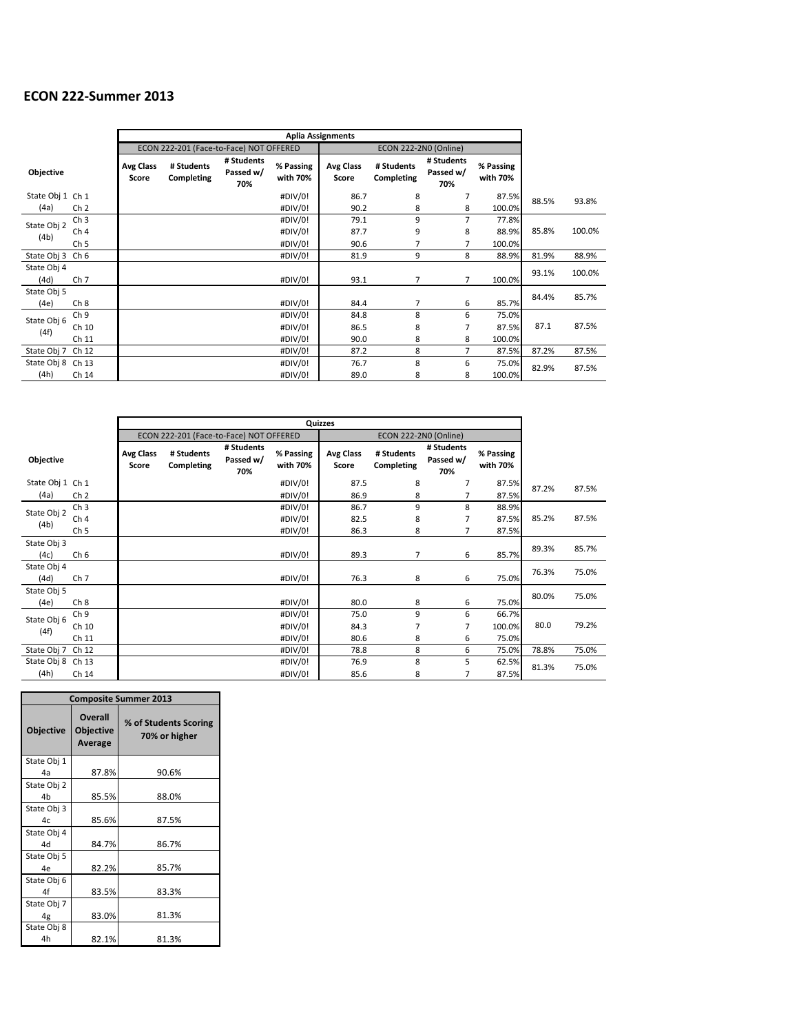## **ECON 222-Summer 2013**

|                     |                 |                           | <b>Aplia Assignments</b>                |                                |                       |                           |                              |                                |                       |       |        |
|---------------------|-----------------|---------------------------|-----------------------------------------|--------------------------------|-----------------------|---------------------------|------------------------------|--------------------------------|-----------------------|-------|--------|
|                     |                 |                           | ECON 222-201 (Face-to-Face) NOT OFFERED |                                |                       |                           | <b>ECON 222-2N0 (Online)</b> |                                |                       |       |        |
| Objective           |                 | <b>Avg Class</b><br>Score | # Students<br>Completing                | # Students<br>Passed w/<br>70% | % Passing<br>with 70% | <b>Avg Class</b><br>Score | # Students<br>Completing     | # Students<br>Passed w/<br>70% | % Passing<br>with 70% |       |        |
| State Obj 1 Ch 1    |                 |                           |                                         |                                | #DIV/0!               | 86.7                      | 8                            | 7                              | 87.5%                 | 88.5% | 93.8%  |
| (4a)                | Ch <sub>2</sub> |                           |                                         |                                | #DIV/0!               | 90.2                      | 8                            | 8                              | 100.0%                |       |        |
| State Obj 2         | Ch <sub>3</sub> |                           |                                         |                                | #DIV/0!               | 79.1                      | 9                            | 7                              | 77.8%                 |       |        |
|                     | Ch <sub>4</sub> |                           |                                         |                                | #DIV/0!               | 87.7                      | 9                            | 8                              | 88.9%                 | 85.8% | 100.0% |
| (4b)                | Ch <sub>5</sub> |                           |                                         |                                | #DIV/0!               | 90.6                      | 7                            | 7                              | 100.0%                |       |        |
| State Obj 3         | Ch <sub>6</sub> |                           |                                         |                                | #DIV/0!               | 81.9                      | 9                            | 8                              | 88.9%                 | 81.9% | 88.9%  |
| State Obj 4<br>(4d) | Ch <sub>7</sub> |                           |                                         |                                | #DIV/0!               | 93.1                      | 7                            | $\overline{7}$                 | 100.0%                | 93.1% | 100.0% |
| State Obj 5         |                 |                           |                                         |                                |                       |                           |                              |                                |                       | 84.4% | 85.7%  |
| (4e)                | Ch <sub>8</sub> |                           |                                         |                                | #DIV/0!               | 84.4                      | 7                            | 6                              | 85.7%                 |       |        |
| State Obj 6         | Ch <sub>9</sub> |                           |                                         |                                | #DIV/0!               | 84.8                      | 8                            | 6                              | 75.0%                 |       |        |
| (4f)                | Ch 10           |                           |                                         |                                | #DIV/0!               | 86.5                      | 8                            | 7                              | 87.5%                 | 87.1  | 87.5%  |
|                     | Ch 11           |                           |                                         |                                | #DIV/0!               | 90.0                      | 8                            | 8                              | 100.0%                |       |        |
| State Obj 7         | Ch 12           |                           |                                         |                                | #DIV/0!               | 87.2                      | 8                            | $\overline{7}$                 | 87.5%                 | 87.2% | 87.5%  |
| State Obj 8         | Ch 13           |                           |                                         |                                | #DIV/0!               | 76.7                      | 8                            | 6                              | 75.0%                 | 82.9% |        |
| (4h)                | Ch 14           |                           |                                         |                                | #DIV/0!               | 89.0                      | 8                            | 8                              | 100.0%                |       | 87.5%  |

 $\overline{\phantom{0}}$ 

|                     |                 |                    | ECON 222-201 (Face-to-Face) NOT OFFERED |                                |                       |                           | <b>ECON 222-2N0 (Online)</b> |                                |                       |       |       |
|---------------------|-----------------|--------------------|-----------------------------------------|--------------------------------|-----------------------|---------------------------|------------------------------|--------------------------------|-----------------------|-------|-------|
| <b>Objective</b>    |                 | Avg Class<br>Score | # Students<br>Completing                | # Students<br>Passed w/<br>70% | % Passing<br>with 70% | <b>Avg Class</b><br>Score | # Students<br>Completing     | # Students<br>Passed w/<br>70% | % Passing<br>with 70% |       |       |
| State Obj 1         | Ch <sub>1</sub> |                    |                                         |                                | #DIV/0!               | 87.5                      | 8                            | 7                              | 87.5%                 | 87.2% | 87.5% |
| (4a)                | Ch <sub>2</sub> |                    |                                         |                                | #DIV/0!               | 86.9                      | 8                            | 7                              | 87.5%                 |       |       |
| State Obj 2         | Ch <sub>3</sub> |                    |                                         |                                | #DIV/0!               | 86.7                      | 9                            | 8                              | 88.9%                 |       |       |
| (4b)                | Ch <sub>4</sub> |                    |                                         |                                | #DIV/0!               | 82.5                      | 8                            | 7                              | 87.5%                 | 85.2% | 87.5% |
|                     | Ch <sub>5</sub> |                    |                                         |                                | #DIV/0!               | 86.3                      | 8                            | 7                              | 87.5%                 |       |       |
| State Obj 3<br>(4c) | Ch <sub>6</sub> |                    |                                         |                                | #DIV/0!               | 89.3                      | 7                            | 6                              | 85.7%                 | 89.3% | 85.7% |
| State Obj 4<br>(4d) | Ch <sub>7</sub> |                    |                                         |                                | #DIV/0!               | 76.3                      | 8                            | 6                              | 75.0%                 | 76.3% | 75.0% |
| State Obj 5<br>(4e) | Ch <sub>8</sub> |                    |                                         |                                | #DIV/0!               | 80.0                      | 8                            | 6                              | 75.0%                 | 80.0% | 75.0% |
| State Obj 6         | Ch <sub>9</sub> |                    |                                         |                                | #DIV/0!               | 75.0                      | 9                            | 6                              | 66.7%                 |       |       |
| (4f)                | Ch 10           |                    |                                         |                                | #DIV/0!               | 84.3                      | 7                            | 7                              | 100.0%                | 80.0  | 79.2% |
|                     | Ch 11           |                    |                                         |                                | #DIV/0!               | 80.6                      | 8                            | 6                              | 75.0%                 |       |       |
| State Obj 7         | Ch 12           |                    |                                         |                                | #DIV/0!               | 78.8                      | 8                            | 6                              | 75.0%                 | 78.8% | 75.0% |
| State Obj 8         | Ch 13           |                    |                                         |                                | #DIV/0!               | 76.9                      | 8                            | 5                              | 62.5%                 | 81.3% | 75.0% |
| (4h)                | Ch 14           |                    |                                         |                                | #DIV/0!               | 85.6                      | 8                            | 7                              | 87.5%                 |       |       |

|                               | <b>Composite Summer 2013</b>                  |                                        |  |  |  |  |  |  |  |  |  |
|-------------------------------|-----------------------------------------------|----------------------------------------|--|--|--|--|--|--|--|--|--|
| <b>Objective</b>              | <b>Overall</b><br><b>Objective</b><br>Average | % of Students Scoring<br>70% or higher |  |  |  |  |  |  |  |  |  |
| State Obj 1<br>4a             | 87.8%                                         | 90.6%                                  |  |  |  |  |  |  |  |  |  |
| State Obj 2<br>4 <sub>b</sub> | 85.5%                                         | 88.0%                                  |  |  |  |  |  |  |  |  |  |
| State Obj 3<br>4c             | 85.6%                                         | 87.5%                                  |  |  |  |  |  |  |  |  |  |
| State Obj 4<br>44             | 84.7%                                         | 86.7%                                  |  |  |  |  |  |  |  |  |  |
| State Obj 5<br>4e             | 82.2%                                         | 85.7%                                  |  |  |  |  |  |  |  |  |  |
| State Obj 6<br>4f             | 83.5%                                         | 83.3%                                  |  |  |  |  |  |  |  |  |  |
| State Obj 7<br>4g             | 83.0%                                         | 81.3%                                  |  |  |  |  |  |  |  |  |  |
| State Obj 8<br>4h             | 82.1%                                         | 81.3%                                  |  |  |  |  |  |  |  |  |  |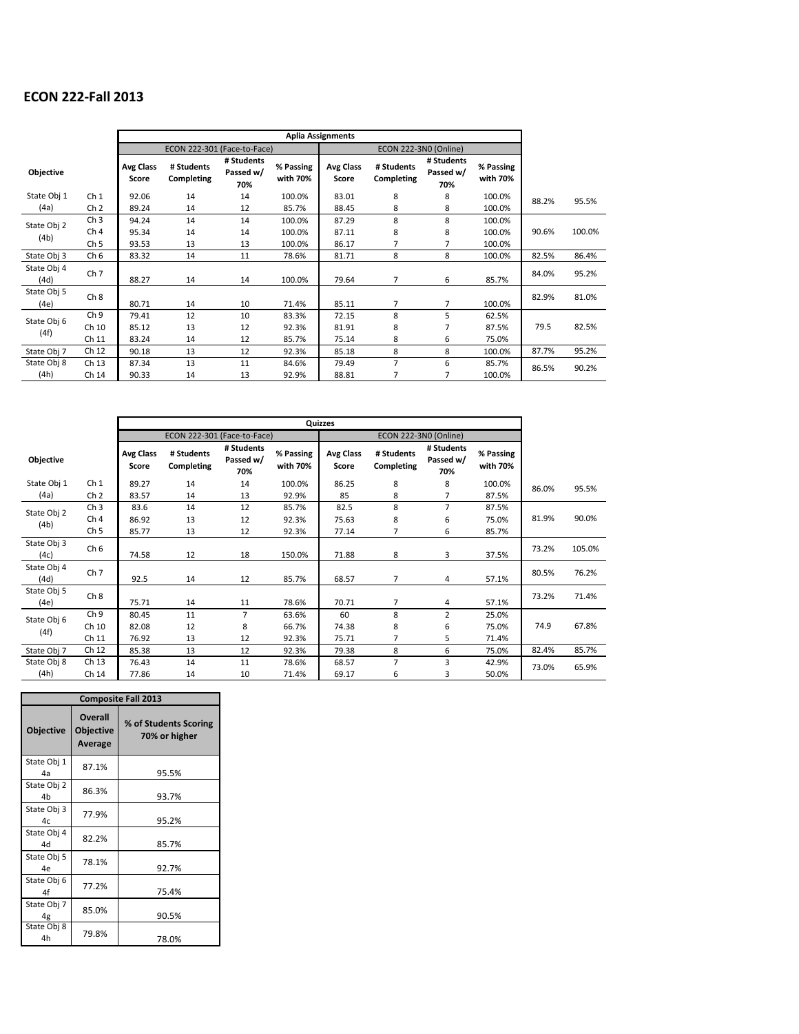## **ECON 222-Fall 2013**

|                     |                                                       |                           |                             |                                |                            | <b>Aplia Assignments</b>  |                          |                                |                            |       |        |
|---------------------|-------------------------------------------------------|---------------------------|-----------------------------|--------------------------------|----------------------------|---------------------------|--------------------------|--------------------------------|----------------------------|-------|--------|
|                     |                                                       |                           | ECON 222-301 (Face-to-Face) |                                |                            |                           |                          | ECON 222-3N0 (Online)          |                            |       |        |
| <b>Objective</b>    |                                                       | <b>Avg Class</b><br>Score | # Students<br>Completing    | # Students<br>Passed w/<br>70% | % Passing<br>with 70%      | <b>Avg Class</b><br>Score | # Students<br>Completing | # Students<br>Passed w/<br>70% | % Passing<br>with 70%      |       |        |
| State Obj 1<br>(4a) | Ch <sub>1</sub><br>Ch <sub>2</sub>                    | 92.06<br>89.24            | 14<br>14                    | 14<br>12                       | 100.0%<br>85.7%            | 83.01<br>88.45            | 8<br>8                   | 8<br>8                         | 100.0%<br>100.0%           | 88.2% | 95.5%  |
| State Obj 2<br>(4b) | Ch <sub>3</sub><br>Ch <sub>4</sub><br>Ch <sub>5</sub> | 94.24<br>95.34<br>93.53   | 14<br>14<br>13              | 14<br>14<br>13                 | 100.0%<br>100.0%<br>100.0% | 87.29<br>87.11<br>86.17   | 8<br>8<br>7              | 8<br>8<br>7                    | 100.0%<br>100.0%<br>100.0% | 90.6% | 100.0% |
| State Obj 3         | Ch <sub>6</sub>                                       | 83.32                     | 14                          | 11                             | 78.6%                      | 81.71                     | 8                        | 8                              | 100.0%                     | 82.5% | 86.4%  |
| State Obj 4<br>(4d) | Ch <sub>7</sub>                                       | 88.27                     | 14                          | 14                             | 100.0%                     | 79.64                     | $\overline{7}$           | 6                              | 85.7%                      | 84.0% | 95.2%  |
| State Obj 5<br>(4e) | Ch <sub>8</sub>                                       | 80.71                     | 14                          | 10                             | 71.4%                      | 85.11                     | $\overline{7}$           | 7                              | 100.0%                     | 82.9% | 81.0%  |
| State Obj 6<br>(4f) | Ch <sub>9</sub><br>Ch 10<br>Ch 11                     | 79.41<br>85.12<br>83.24   | 12<br>13<br>14              | 10<br>12<br>12                 | 83.3%<br>92.3%<br>85.7%    | 72.15<br>81.91<br>75.14   | 8<br>8<br>8              | 5<br>7<br>6                    | 62.5%<br>87.5%<br>75.0%    | 79.5  | 82.5%  |
| State Obj 7         | Ch 12                                                 | 90.18                     | 13                          | 12                             | 92.3%                      | 85.18                     | 8                        | 8                              | 100.0%                     | 87.7% | 95.2%  |
| State Obj 8<br>(4h) | Ch 13<br>Ch 14                                        | 87.34<br>90.33            | 13<br>14                    | 11<br>13                       | 84.6%<br>92.9%             | 79.49<br>88.81            | $\overline{7}$<br>7      | 6<br>7                         | 85.7%<br>100.0%            | 86.5% | 90.2%  |

 $\overline{\phantom{a}}$ 

 $\overline{\phantom{0}}$ 

|                     |                 |                           | ECON 222-301 (Face-to-Face) |                                |                       |                           | ECON 222-3N0 (Online)    |                                |                       |       |        |
|---------------------|-----------------|---------------------------|-----------------------------|--------------------------------|-----------------------|---------------------------|--------------------------|--------------------------------|-----------------------|-------|--------|
| <b>Objective</b>    |                 | <b>Avg Class</b><br>Score | # Students<br>Completing    | # Students<br>Passed w/<br>70% | % Passing<br>with 70% | <b>Avg Class</b><br>Score | # Students<br>Completing | # Students<br>Passed w/<br>70% | % Passing<br>with 70% |       |        |
| State Obj 1         | Ch <sub>1</sub> | 89.27                     | 14                          | 14                             | 100.0%                | 86.25                     | 8                        | 8                              | 100.0%                | 86.0% | 95.5%  |
| (4a)                | Ch <sub>2</sub> | 83.57                     | 14                          | 13                             | 92.9%                 | 85                        | 8                        | 7                              | 87.5%                 |       |        |
| State Obj 2         | Ch <sub>3</sub> | 83.6                      | 14                          | 12                             | 85.7%                 | 82.5                      | 8                        | $\overline{7}$                 | 87.5%                 |       |        |
| (4b)                | Ch <sub>4</sub> | 86.92                     | 13                          | 12                             | 92.3%                 | 75.63                     | 8                        | 6                              | 75.0%                 | 81.9% | 90.0%  |
|                     | Ch <sub>5</sub> | 85.77                     | 13                          | 12                             | 92.3%                 | 77.14                     | 7                        | 6                              | 85.7%                 |       |        |
| State Obj 3<br>(4c) | Ch <sub>6</sub> | 74.58                     | 12                          | 18                             | 150.0%                | 71.88                     | 8                        | 3                              | 37.5%                 | 73.2% | 105.0% |
| State Obj 4<br>(4d) | Ch <sub>7</sub> | 92.5                      | 14                          | 12                             | 85.7%                 | 68.57                     | $\overline{7}$           | $\overline{4}$                 | 57.1%                 | 80.5% | 76.2%  |
| State Obj 5<br>(4e) | Ch <sub>8</sub> | 75.71                     | 14                          | 11                             | 78.6%                 | 70.71                     | $\overline{7}$           | 4                              | 57.1%                 | 73.2% | 71.4%  |
| State Obj 6         | Ch <sub>9</sub> | 80.45                     | 11                          | $\overline{7}$                 | 63.6%                 | 60                        | 8                        | $\overline{2}$                 | 25.0%                 |       |        |
| (4f)                | Ch 10           | 82.08                     | 12                          | 8                              | 66.7%                 | 74.38                     | 8                        | 6                              | 75.0%                 | 74.9  | 67.8%  |
|                     | Ch 11           | 76.92                     | 13                          | 12                             | 92.3%                 | 75.71                     | $\overline{7}$           | 5                              | 71.4%                 |       |        |
| State Obj 7         | Ch 12           | 85.38                     | 13                          | 12                             | 92.3%                 | 79.38                     | 8                        | 6                              | 75.0%                 | 82.4% | 85.7%  |
| State Obj 8         | Ch 13           | 76.43                     | 14                          | 11                             | 78.6%                 | 68.57                     | $\overline{7}$           | 3                              | 42.9%                 | 73.0% | 65.9%  |
| (4h)                | Ch 14           | 77.86                     | 14                          | 10                             | 71.4%                 | 69.17                     | 6                        | 3                              | 50.0%                 |       |        |

|                               | <b>Composite Fall 2013</b>                    |                                        |  |  |  |  |  |  |  |  |  |
|-------------------------------|-----------------------------------------------|----------------------------------------|--|--|--|--|--|--|--|--|--|
| <b>Objective</b>              | <b>Overall</b><br><b>Objective</b><br>Average | % of Students Scoring<br>70% or higher |  |  |  |  |  |  |  |  |  |
| State Obj 1<br>4a             | 87.1%                                         | 95.5%                                  |  |  |  |  |  |  |  |  |  |
| State Obj 2<br>4h             | 86.3%                                         | 93.7%                                  |  |  |  |  |  |  |  |  |  |
| State Obj 3<br>4 <sub>c</sub> | 77.9%                                         | 95.2%                                  |  |  |  |  |  |  |  |  |  |
| State Obj 4<br>44             | 82.2%                                         | 85.7%                                  |  |  |  |  |  |  |  |  |  |
| State Obj 5<br>4e             | 78.1%                                         | 92.7%                                  |  |  |  |  |  |  |  |  |  |
| State Obj 6<br>4f             | 77.2%                                         | 75.4%                                  |  |  |  |  |  |  |  |  |  |
| State Obj 7<br>4g             | 85.0%                                         | 90.5%                                  |  |  |  |  |  |  |  |  |  |
| State Obj 8<br>4h             | 79.8%                                         | 78.0%                                  |  |  |  |  |  |  |  |  |  |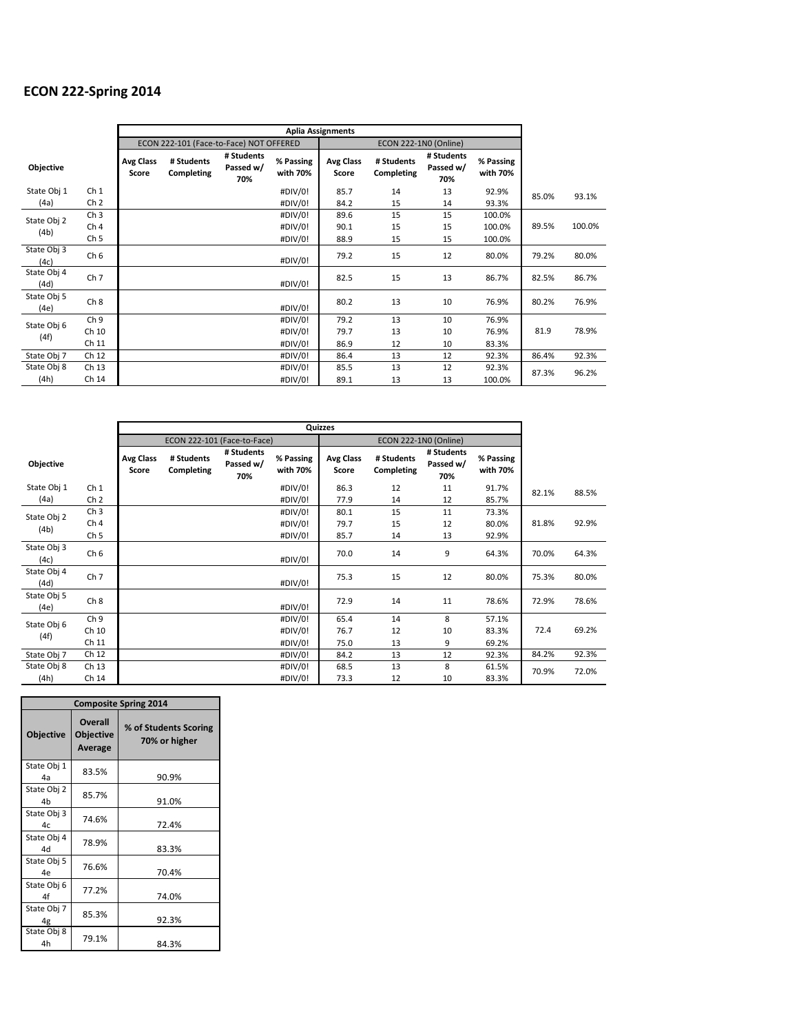## **ECON 222-Spring 2014**

|                     |                 |                           | ECON 222-101 (Face-to-Face) NOT OFFERED |                                |                       |                           | ECON 222-1N0 (Online)    |                                |                       |       |        |
|---------------------|-----------------|---------------------------|-----------------------------------------|--------------------------------|-----------------------|---------------------------|--------------------------|--------------------------------|-----------------------|-------|--------|
| <b>Objective</b>    |                 | <b>Avg Class</b><br>Score | # Students<br>Completing                | # Students<br>Passed w/<br>70% | % Passing<br>with 70% | <b>Avg Class</b><br>Score | # Students<br>Completing | # Students<br>Passed w/<br>70% | % Passing<br>with 70% |       |        |
| State Obj 1         | Ch <sub>1</sub> |                           |                                         |                                | #DIV/0!               | 85.7                      | 14                       | 13                             | 92.9%                 | 85.0% | 93.1%  |
| (4a)                | Ch <sub>2</sub> |                           |                                         |                                | #DIV/0!               | 84.2                      | 15                       | 14                             | 93.3%                 |       |        |
| State Obj 2         | Ch <sub>3</sub> |                           |                                         |                                | #DIV/0!               | 89.6                      | 15                       | 15                             | 100.0%                |       |        |
| (4b)                | Ch <sub>4</sub> |                           |                                         |                                | #DIV/0!               | 90.1                      | 15                       | 15                             | 100.0%                | 89.5% | 100.0% |
|                     | Ch <sub>5</sub> |                           |                                         |                                | #DIV/0!               | 88.9                      | 15                       | 15                             | 100.0%                |       |        |
| State Obj 3<br>(4c) | Ch <sub>6</sub> |                           |                                         |                                | #DIV/0!               | 79.2                      | 15                       | 12                             | 80.0%                 | 79.2% | 80.0%  |
| State Obj 4<br>(4d) | Ch <sub>7</sub> |                           |                                         |                                | #DIV/0!               | 82.5                      | 15                       | 13                             | 86.7%                 | 82.5% | 86.7%  |
| State Obj 5<br>(4e) | Ch 8            |                           |                                         |                                | #DIV/0!               | 80.2                      | 13                       | 10                             | 76.9%                 | 80.2% | 76.9%  |
| State Obj 6         | Ch <sub>9</sub> |                           |                                         |                                | #DIV/0!               | 79.2                      | 13                       | 10                             | 76.9%                 |       |        |
| (4f)                | Ch 10           |                           |                                         |                                | #DIV/0!               | 79.7                      | 13                       | 10                             | 76.9%                 | 81.9  | 78.9%  |
|                     | Ch 11           |                           |                                         |                                | #DIV/0!               | 86.9                      | 12                       | 10                             | 83.3%                 |       |        |
| State Obj 7         | Ch 12           |                           |                                         |                                | #DIV/0!               | 86.4                      | 13                       | 12                             | 92.3%                 | 86.4% | 92.3%  |
| State Obj 8         | Ch 13           |                           |                                         |                                | #DIV/0!               | 85.5                      | 13                       | 12                             | 92.3%                 | 87.3% | 96.2%  |
| (4h)                | Ch 14           |                           |                                         |                                | #DIV/0!               | 89.1                      | 13                       | 13                             | 100.0%                |       |        |

L,

|                     |                 |                           | ECON 222-101 (Face-to-Face) |                                |                       |                           | <b>ECON 222-1N0 (Online)</b> |                                |                       |       |       |
|---------------------|-----------------|---------------------------|-----------------------------|--------------------------------|-----------------------|---------------------------|------------------------------|--------------------------------|-----------------------|-------|-------|
| <b>Objective</b>    |                 | <b>Avg Class</b><br>Score | # Students<br>Completing    | # Students<br>Passed w/<br>70% | % Passing<br>with 70% | <b>Avg Class</b><br>Score | # Students<br>Completing     | # Students<br>Passed w/<br>70% | % Passing<br>with 70% |       |       |
| State Obj 1         | Ch <sub>1</sub> |                           |                             |                                | #DIV/0!               | 86.3                      | 12                           | 11                             | 91.7%                 | 82.1% | 88.5% |
| (4a)                | Ch <sub>2</sub> |                           |                             |                                | #DIV/0!               | 77.9                      | 14                           | 12                             | 85.7%                 |       |       |
| State Obj 2         | Ch <sub>3</sub> |                           |                             |                                | #DIV/0!               | 80.1                      | 15                           | 11                             | 73.3%                 |       |       |
| (4b)                | Ch <sub>4</sub> |                           |                             |                                | #DIV/0!               | 79.7                      | 15                           | 12                             | 80.0%                 | 81.8% | 92.9% |
|                     | Ch <sub>5</sub> |                           |                             |                                | #DIV/0!               | 85.7                      | 14                           | 13                             | 92.9%                 |       |       |
| State Obj 3<br>(4c) | Ch <sub>6</sub> |                           |                             |                                | #DIV/0!               | 70.0                      | 14                           | 9                              | 64.3%                 | 70.0% | 64.3% |
| State Obj 4<br>(4d) | Ch <sub>7</sub> |                           |                             |                                | #DIV/0!               | 75.3                      | 15                           | 12                             | 80.0%                 | 75.3% | 80.0% |
| State Obj 5<br>(4e) | Ch <sub>8</sub> |                           |                             |                                | #DIV/0!               | 72.9                      | 14                           | 11                             | 78.6%                 | 72.9% | 78.6% |
| State Obj 6         | Ch <sub>9</sub> |                           |                             |                                | #DIV/0!               | 65.4                      | 14                           | 8                              | 57.1%                 |       |       |
|                     | Ch 10           |                           |                             |                                | #DIV/0!               | 76.7                      | 12                           | 10                             | 83.3%                 | 72.4  | 69.2% |
| (4f)                | Ch 11           |                           |                             |                                | #DIV/0!               | 75.0                      | 13                           | 9                              | 69.2%                 |       |       |
| State Obj 7         | Ch 12           |                           |                             |                                | #DIV/0!               | 84.2                      | 13                           | 12                             | 92.3%                 | 84.2% | 92.3% |
| State Obj 8         | Ch 13           |                           |                             |                                | #DIV/0!               | 68.5                      | 13                           | 8                              | 61.5%                 | 70.9% | 72.0% |
| (4h)                | Ch 14           |                           |                             |                                | #DIV/0!               | 73.3                      | 12                           | 10                             | 83.3%                 |       |       |

| <b>Composite Spring 2014</b> |                                               |                                        |  |  |  |  |  |  |  |  |
|------------------------------|-----------------------------------------------|----------------------------------------|--|--|--|--|--|--|--|--|
| <b>Objective</b>             | <b>Overall</b><br><b>Objective</b><br>Average | % of Students Scoring<br>70% or higher |  |  |  |  |  |  |  |  |
| State Obj 1<br>4a            | 83.5%                                         | 90.9%                                  |  |  |  |  |  |  |  |  |
| State Obj 2<br>4h            | 85.7%                                         | 91.0%                                  |  |  |  |  |  |  |  |  |
| State Obj 3<br>4c            | 74.6%                                         | 72.4%                                  |  |  |  |  |  |  |  |  |
| State Obj 4<br>4d            | 78.9%                                         | 83.3%                                  |  |  |  |  |  |  |  |  |
| State Obj 5<br>4e            | 76.6%                                         | 70.4%                                  |  |  |  |  |  |  |  |  |
| State Obj 6<br>4f            | 77.2%                                         | 74.0%                                  |  |  |  |  |  |  |  |  |
| State Obj 7<br>4g            | 85.3%                                         | 92.3%                                  |  |  |  |  |  |  |  |  |
| State Obj 8<br>4h            | 79.1%                                         | 84.3%                                  |  |  |  |  |  |  |  |  |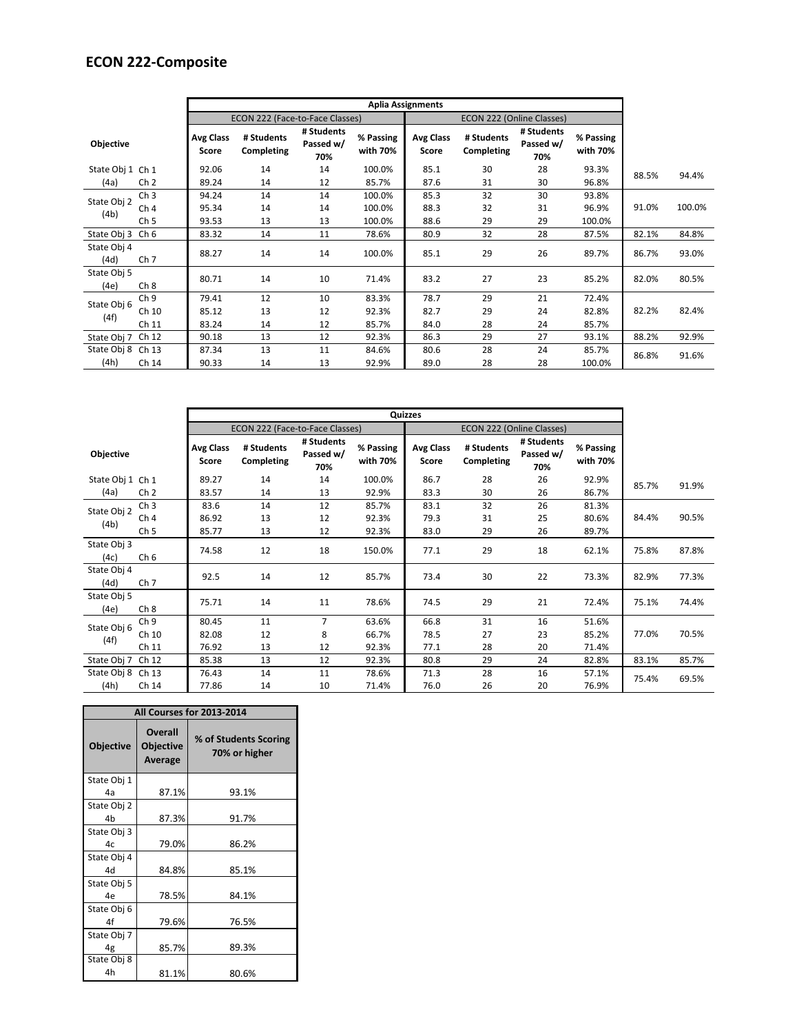## **ECON 222-Composite**

|                     |                 |                           |                                 |                                |                       | <b>Aplia Assignments</b>  |                           |                                |                       |       |        |
|---------------------|-----------------|---------------------------|---------------------------------|--------------------------------|-----------------------|---------------------------|---------------------------|--------------------------------|-----------------------|-------|--------|
|                     |                 |                           | ECON 222 (Face-to-Face Classes) |                                |                       |                           | ECON 222 (Online Classes) |                                |                       |       |        |
| <b>Objective</b>    |                 | <b>Avg Class</b><br>Score | # Students<br>Completing        | # Students<br>Passed w/<br>70% | % Passing<br>with 70% | <b>Avg Class</b><br>Score | # Students<br>Completing  | # Students<br>Passed w/<br>70% | % Passing<br>with 70% |       |        |
| State Obj 1 Ch 1    |                 | 92.06                     | 14                              | 14                             | 100.0%                | 85.1                      | 30                        | 28                             | 93.3%                 | 88.5% | 94.4%  |
| (4a)                | Ch <sub>2</sub> | 89.24                     | 14                              | 12                             | 85.7%                 | 87.6                      | 31                        | 30                             | 96.8%                 |       |        |
| State Obj 2         | Ch <sub>3</sub> | 94.24                     | 14                              | 14                             | 100.0%                | 85.3                      | 32                        | 30                             | 93.8%                 |       |        |
| (4b)                | Ch <sub>4</sub> | 95.34                     | 14                              | 14                             | 100.0%                | 88.3                      | 32                        | 31                             | 96.9%                 | 91.0% | 100.0% |
|                     | Ch <sub>5</sub> | 93.53                     | 13                              | 13                             | 100.0%                | 88.6                      | 29                        | 29                             | 100.0%                |       |        |
| State Obj 3         | Ch <sub>6</sub> | 83.32                     | 14                              | 11                             | 78.6%                 | 80.9                      | 32                        | 28                             | 87.5%                 | 82.1% | 84.8%  |
| State Obj 4<br>(4d) | Ch <sub>7</sub> | 88.27                     | 14                              | 14                             | 100.0%                | 85.1                      | 29                        | 26                             | 89.7%                 | 86.7% | 93.0%  |
| State Obj 5<br>(4e) | Ch 8            | 80.71                     | 14                              | 10                             | 71.4%                 | 83.2                      | 27                        | 23                             | 85.2%                 | 82.0% | 80.5%  |
| State Obj 6         | Ch <sub>9</sub> | 79.41                     | 12                              | 10                             | 83.3%                 | 78.7                      | 29                        | 21                             | 72.4%                 |       |        |
| (4f)                | Ch 10           | 85.12                     | 13                              | 12                             | 92.3%                 | 82.7                      | 29                        | 24                             | 82.8%                 | 82.2% | 82.4%  |
|                     | Ch 11           | 83.24                     | 14                              | 12                             | 85.7%                 | 84.0                      | 28                        | 24                             | 85.7%                 |       |        |
| State Obj 7         | Ch 12           | 90.18                     | 13                              | 12                             | 92.3%                 | 86.3                      | 29                        | 27                             | 93.1%                 | 88.2% | 92.9%  |
| State Obj 8 Ch 13   |                 | 87.34                     | 13                              | 11                             | 84.6%                 | 80.6                      | 28                        | 24                             | 85.7%                 | 86.8% | 91.6%  |
| (4h)                | Ch 14           | 90.33                     | 14                              | 13                             | 92.9%                 | 89.0                      | 28                        | 28                             | 100.0%                |       |        |

|                     |                 |                           | ECON 222 (Face-to-Face Classes) |                                |                       |                           | ECON 222 (Online Classes) |                                |                       |       |       |
|---------------------|-----------------|---------------------------|---------------------------------|--------------------------------|-----------------------|---------------------------|---------------------------|--------------------------------|-----------------------|-------|-------|
| <b>Objective</b>    |                 | <b>Avg Class</b><br>Score | # Students<br>Completing        | # Students<br>Passed w/<br>70% | % Passing<br>with 70% | <b>Avg Class</b><br>Score | # Students<br>Completing  | # Students<br>Passed w/<br>70% | % Passing<br>with 70% |       |       |
| State Obj 1 Ch 1    |                 | 89.27                     | 14                              | 14                             | 100.0%                | 86.7                      | 28                        | 26                             | 92.9%                 | 85.7% | 91.9% |
| (4a)                | Ch <sub>2</sub> | 83.57                     | 14                              | 13                             | 92.9%                 | 83.3                      | 30                        | 26                             | 86.7%                 |       |       |
| State Obj 2         | Ch <sub>3</sub> | 83.6                      | 14                              | 12                             | 85.7%                 | 83.1                      | 32                        | 26                             | 81.3%                 |       |       |
| (4b)                | Ch <sub>4</sub> | 86.92                     | 13                              | 12                             | 92.3%                 | 79.3                      | 31                        | 25                             | 80.6%                 | 84.4% | 90.5% |
|                     | Ch <sub>5</sub> | 85.77                     | 13                              | 12                             | 92.3%                 | 83.0                      | 29                        | 26                             | 89.7%                 |       |       |
| State Obj 3<br>(4c) | Ch <sub>6</sub> | 74.58                     | 12                              | 18                             | 150.0%                | 77.1                      | 29                        | 18                             | 62.1%                 | 75.8% | 87.8% |
| State Obj 4<br>(4d) | Ch <sub>7</sub> | 92.5                      | 14                              | 12                             | 85.7%                 | 73.4                      | 30                        | 22                             | 73.3%                 | 82.9% | 77.3% |
| State Obj 5<br>(4e) | Ch 8            | 75.71                     | 14                              | 11                             | 78.6%                 | 74.5                      | 29                        | 21                             | 72.4%                 | 75.1% | 74.4% |
| State Obj 6         | Ch <sub>9</sub> | 80.45                     | 11                              | $\overline{7}$                 | 63.6%                 | 66.8                      | 31                        | 16                             | 51.6%                 |       |       |
|                     | Ch 10           | 82.08                     | 12                              | 8                              | 66.7%                 | 78.5                      | 27                        | 23                             | 85.2%                 | 77.0% | 70.5% |
| (4f)                | Ch 11           | 76.92                     | 13                              | 12                             | 92.3%                 | 77.1                      | 28                        | 20                             | 71.4%                 |       |       |
| State Obj 7         | Ch 12           | 85.38                     | 13                              | 12                             | 92.3%                 | 80.8                      | 29                        | 24                             | 82.8%                 | 83.1% | 85.7% |
| State Obj 8 Ch 13   |                 | 76.43                     | 14                              | 11                             | 78.6%                 | 71.3                      | 28                        | 16                             | 57.1%                 |       | 69.5% |
| (4h)                | Ch 14           | 77.86                     | 14                              | 10                             | 71.4%                 | 76.0                      | 26                        | 20                             | 76.9%                 | 75.4% |       |

|                  |                                               | All Courses for 2013-2014              |
|------------------|-----------------------------------------------|----------------------------------------|
| <b>Objective</b> | <b>Overall</b><br><b>Objective</b><br>Average | % of Students Scoring<br>70% or higher |
| State Obj 1      |                                               |                                        |
| 4a               | 87.1%                                         | 93.1%                                  |
| State Obj 2      |                                               |                                        |
| 4 <sub>b</sub>   | 87.3%                                         | 91.7%                                  |
| State Obj 3      |                                               |                                        |
| 4c               | 79.0%                                         | 86.2%                                  |
| State Obj 4      |                                               |                                        |
| 4d               | 84.8%                                         | 85.1%                                  |
| State Obj 5      |                                               |                                        |
| 4e               | 78.5%                                         | 84.1%                                  |
| State Obj 6      |                                               |                                        |
| 4f               | 79.6%                                         | 76.5%                                  |
| State Obj 7      |                                               |                                        |
| 4g               | 85.7%                                         | 89.3%                                  |
| State Obj 8      |                                               |                                        |
| 4h               | 81.1%                                         | 80.6%                                  |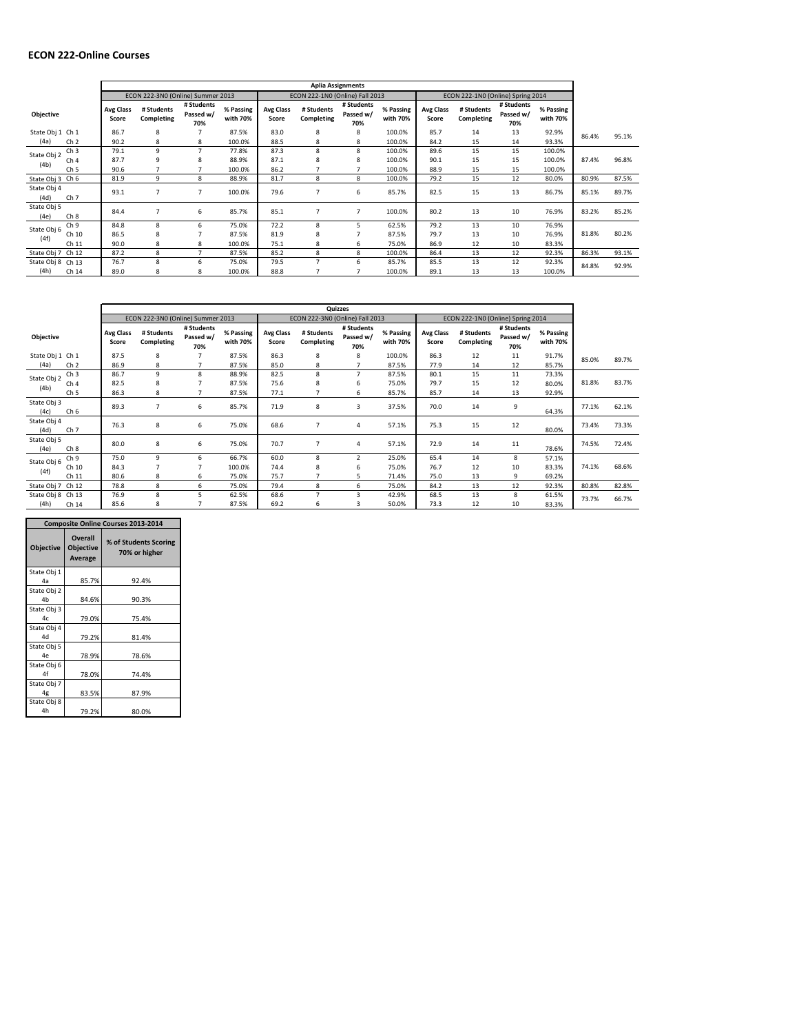### **ECON 222-Online Courses**

|                     |                 | <b>Aplia Assignments</b>  |                                   |                                |                       |                           |                                 |                                |                       |                           |                                   |                                |                       |       |       |
|---------------------|-----------------|---------------------------|-----------------------------------|--------------------------------|-----------------------|---------------------------|---------------------------------|--------------------------------|-----------------------|---------------------------|-----------------------------------|--------------------------------|-----------------------|-------|-------|
|                     |                 |                           | ECON 222-3N0 (Online) Summer 2013 |                                |                       |                           | ECON 222-1N0 (Online) Fall 2013 |                                |                       |                           | ECON 222-1N0 (Online) Spring 2014 |                                |                       |       |       |
| Objective           |                 | <b>Avg Class</b><br>Score | # Students<br>Completing          | # Students<br>Passed w/<br>70% | % Passing<br>with 70% | <b>Avg Class</b><br>Score | # Students<br>Completing        | # Students<br>Passed w/<br>70% | % Passing<br>with 70% | <b>Avg Class</b><br>Score | # Students<br>Completing          | # Students<br>Passed w/<br>70% | % Passing<br>with 70% |       |       |
| State Obj 1 Ch 1    |                 | 86.7                      | 8                                 |                                | 87.5%                 | 83.0                      | 8                               | 8                              | 100.0%                | 85.7                      | 14                                | 13                             | 92.9%                 | 86.4% | 95.1% |
| (4a)                | Ch <sub>2</sub> | 90.2                      | 8                                 | 8                              | 100.0%                | 88.5                      | 8                               | 8                              | 100.0%                | 84.2                      | 15                                | 14                             | 93.3%                 |       |       |
| State Obj 2         | Ch <sub>3</sub> | 79.1                      | 9                                 | $\overline{7}$                 | 77.8%                 | 87.3                      | 8                               | 8                              | 100.0%                | 89.6                      | 15                                | 15                             | 100.0%                |       |       |
| (4b)                | Ch <sub>4</sub> | 87.7                      | 9                                 | 8                              | 88.9%                 | 87.1                      | 8                               | 8                              | 100.0%                | 90.1                      | 15                                | 15                             | 100.0%                | 87.4% | 96.8% |
|                     | Ch <sub>5</sub> | 90.6                      |                                   |                                | 100.0%                | 86.2                      |                                 |                                | 100.0%                | 88.9                      | 15                                | 15                             | 100.0%                |       |       |
| State Obj 3 Ch 6    |                 | 81.9                      | 9                                 | 8                              | 88.9%                 | 81.7                      | 8                               | 8                              | 100.0%                | 79.2                      | 15                                | 12                             | 80.0%                 | 80.9% | 87.5% |
| State Obj 4<br>(4d) | Ch <sub>7</sub> | 93.1                      |                                   | 7                              | 100.0%                | 79.6                      |                                 | 6                              | 85.7%                 | 82.5                      | 15                                | 13                             | 86.7%                 | 85.1% | 89.7% |
| State Obj 5<br>(4e) | Ch 8            | 84.4                      |                                   | 6                              | 85.7%                 | 85.1                      | $\overline{7}$                  | 7                              | 100.0%                | 80.2                      | 13                                | 10                             | 76.9%                 | 83.2% | 85.2% |
| State Obj 6         | Ch <sub>9</sub> | 84.8                      | 8                                 | 6                              | 75.0%                 | 72.2                      | 8                               | 5                              | 62.5%                 | 79.2                      | 13                                | 10                             | 76.9%                 |       |       |
|                     | Ch 10           | 86.5                      | 8                                 |                                | 87.5%                 | 81.9                      | 8                               | 7                              | 87.5%                 | 79.7                      | 13                                | 10                             | 76.9%                 | 81.8% | 80.2% |
| (4f)                | Ch 11           | 90.0                      | 8                                 | 8                              | 100.0%                | 75.1                      | 8                               | 6                              | 75.0%                 | 86.9                      | 12                                | 10                             | 83.3%                 |       |       |
| State Obj 7         | Ch 12           | 87.2                      | 8                                 |                                | 87.5%                 | 85.2                      | 8                               | 8                              | 100.0%                | 86.4                      | 13                                | 12                             | 92.3%                 | 86.3% | 93.1% |
| State Obj 8         | Ch 13           | 76.7                      | 8                                 | 6                              | 75.0%                 | 79.5                      | $\overline{7}$                  | 6                              | 85.7%                 | 85.5                      | 13                                | 12                             | 92.3%                 | 84.8% | 92.9% |
| (4h)                | Ch 14           | 89.0                      | 8                                 | 8                              | 100.0%                | 88.8                      |                                 | 7                              | 100.0%                | 89.1                      | 13                                | 13                             | 100.0%                |       |       |

|                     |                 | Quizzes                   |                                   |                                |                       |                           |                                 |                                |                       |                           |                                   |                                |                       |       |       |
|---------------------|-----------------|---------------------------|-----------------------------------|--------------------------------|-----------------------|---------------------------|---------------------------------|--------------------------------|-----------------------|---------------------------|-----------------------------------|--------------------------------|-----------------------|-------|-------|
|                     |                 |                           | ECON 222-3N0 (Online) Summer 2013 |                                |                       |                           | ECON 222-3N0 (Online) Fall 2013 |                                |                       |                           | ECON 222-1N0 (Online) Spring 2014 |                                |                       |       |       |
| Objective           |                 | <b>Avg Class</b><br>Score | # Students<br>Completing          | # Students<br>Passed w/<br>70% | % Passing<br>with 70% | <b>Avg Class</b><br>Score | # Students<br>Completing        | # Students<br>Passed w/<br>70% | % Passing<br>with 70% | <b>Avg Class</b><br>Score | # Students<br>Completing          | # Students<br>Passed w/<br>70% | % Passing<br>with 70% |       |       |
| State Obj 1 Ch 1    |                 | 87.5                      | 8                                 | $\overline{7}$                 | 87.5%                 | 86.3                      | 8                               | 8                              | 100.0%                | 86.3                      | 12                                | 11                             | 91.7%                 | 85.0% | 89.7% |
| (4a)                | Ch <sub>2</sub> | 86.9                      | 8                                 |                                | 87.5%                 | 85.0                      | 8                               | 7                              | 87.5%                 | 77.9                      | 14                                | 12                             | 85.7%                 |       |       |
| State Obj 2         | Ch <sub>3</sub> | 86.7                      | 9                                 | 8                              | 88.9%                 | 82.5                      | 8                               | $\overline{7}$                 | 87.5%                 | 80.1                      | 15                                | 11                             | 73.3%                 |       |       |
| (4b)                | Ch <sub>4</sub> | 82.5                      | 8                                 |                                | 87.5%                 | 75.6                      | 8                               | 6                              | 75.0%                 | 79.7                      | 15                                | 12                             | 80.0%                 | 81.8% | 83.7% |
|                     | Ch <sub>5</sub> | 86.3                      | 8                                 |                                | 87.5%                 | 77.1                      |                                 | 6                              | 85.7%                 | 85.7                      | 14                                | 13                             | 92.9%                 |       |       |
| State Obj 3<br>(4c) | Ch <sub>6</sub> | 89.3                      | $\overline{7}$                    | 6                              | 85.7%                 | 71.9                      | 8                               | 3                              | 37.5%                 | 70.0                      | 14                                | 9                              | 64.3%                 | 77.1% | 62.1% |
| State Obj 4<br>(4d) | Ch <sub>7</sub> | 76.3                      | 8                                 | 6                              | 75.0%                 | 68.6                      | $\overline{7}$                  | 4                              | 57.1%                 | 75.3                      | 15                                | 12                             | 80.0%                 | 73.4% | 73.3% |
| State Obj 5<br>(4e) | Ch 8            | 80.0                      | 8                                 | 6                              | 75.0%                 | 70.7                      | $\overline{7}$                  | 4                              | 57.1%                 | 72.9                      | 14                                | 11                             | 78.6%                 | 74.5% | 72.4% |
| State Obj 6         | Ch <sub>9</sub> | 75.0                      | 9                                 | 6                              | 66.7%                 | 60.0                      | 8                               | $\overline{2}$                 | 25.0%                 | 65.4                      | 14                                | 8                              | 57.1%                 |       |       |
| (4f)                | Ch 10           | 84.3                      | 7                                 | $\overline{7}$                 | 100.0%                | 74.4                      | 8                               | 6                              | 75.0%                 | 76.7                      | 12                                | 10                             | 83.3%                 | 74.1% | 68.6% |
|                     | Ch 11           | 80.6                      | 8                                 | 6                              | 75.0%                 | 75.7                      |                                 | 5                              | 71.4%                 | 75.0                      | 13                                | 9                              | 69.2%                 |       |       |
| State Obj 7         | Ch 12           | 78.8                      | 8                                 | 6                              | 75.0%                 | 79.4                      | 8                               | 6                              | 75.0%                 | 84.2                      | 13                                | 12                             | 92.3%                 | 80.8% | 82.8% |
| State Obj 8         | Ch 13           | 76.9                      | 8                                 | 5                              | 62.5%                 | 68.6                      | $\overline{7}$                  | 3                              | 42.9%                 | 68.5                      | 13                                | 8                              | 61.5%                 | 73.7% | 66.7% |
| (4h)                | Ch 14           | 85.6                      | 8                                 |                                | 87.5%                 | 69.2                      | 6                               | 3                              | 50.0%                 | 73.3                      | 12                                | 10                             | 83.3%                 |       |       |

|                  |                                                      | <b>Composite Online Courses 2013-2014</b> |
|------------------|------------------------------------------------------|-------------------------------------------|
| <b>Objective</b> | <b>Overall</b><br><b>Objective</b><br><b>Average</b> | % of Students Scoring<br>70% or higher    |
| State Obj 1      |                                                      |                                           |
| 4a               | 85.7%                                                | 92.4%                                     |
| State Obj 2      |                                                      |                                           |
| 4h               | 84.6%                                                | 90.3%                                     |
| State Obj 3      |                                                      |                                           |
| 4c               | 79.0%                                                | 75.4%                                     |
| State Obj 4      |                                                      |                                           |
| 4d               | 79.2%                                                | 81.4%                                     |
| State Obj 5      |                                                      |                                           |
| 4e               | 78.9%                                                | 78.6%                                     |
| State Obj 6      |                                                      |                                           |
| Δf               | 78.0%                                                | 74.4%                                     |
| State Obj 7      |                                                      |                                           |
| 4g               | 83.5%                                                | 87.9%                                     |
| State Obj 8      |                                                      |                                           |
| 4h               | 79.2%                                                | 80.0%                                     |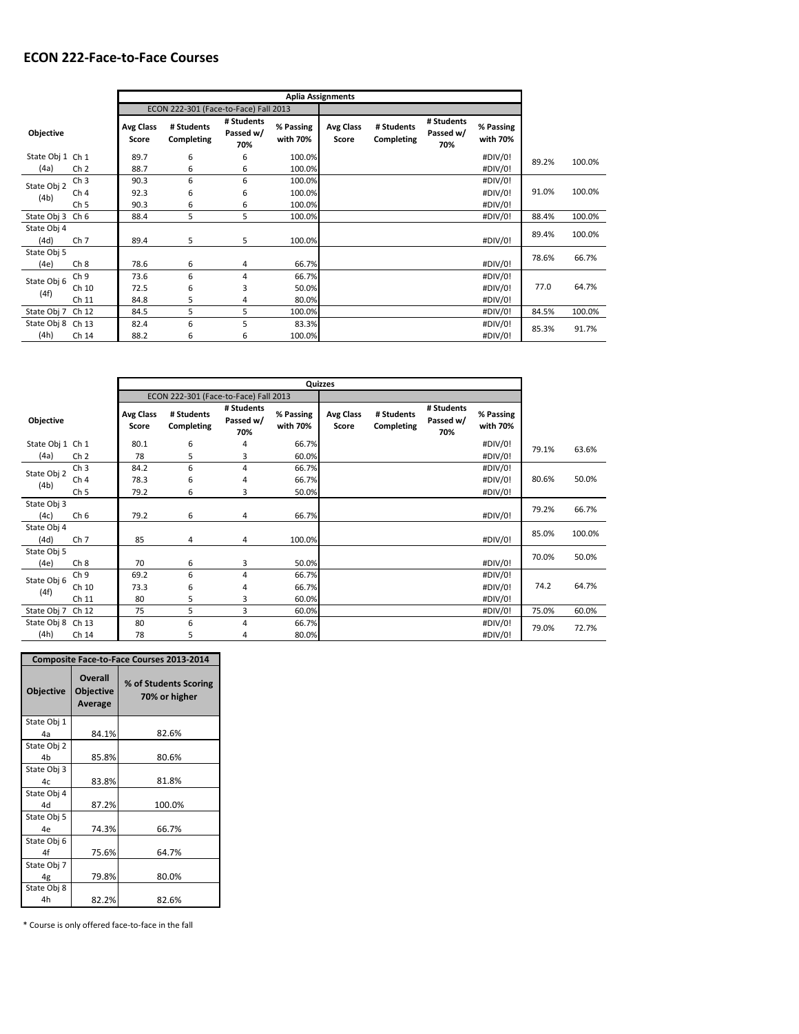|                     |                 |                           | <b>Aplia Assignments</b>              |                                |                       |                           |                          |                                |                       |       |        |
|---------------------|-----------------|---------------------------|---------------------------------------|--------------------------------|-----------------------|---------------------------|--------------------------|--------------------------------|-----------------------|-------|--------|
|                     |                 |                           | ECON 222-301 (Face-to-Face) Fall 2013 |                                |                       |                           |                          |                                |                       |       |        |
| <b>Objective</b>    |                 | <b>Avg Class</b><br>Score | # Students<br>Completing              | # Students<br>Passed w/<br>70% | % Passing<br>with 70% | <b>Avg Class</b><br>Score | # Students<br>Completing | # Students<br>Passed w/<br>70% | % Passing<br>with 70% |       |        |
| State Obj 1 Ch 1    |                 | 89.7                      | 6                                     | 6                              | 100.0%                |                           |                          |                                | #DIV/0!               | 89.2% | 100.0% |
| (4a)                | Ch <sub>2</sub> | 88.7                      | 6                                     | 6                              | 100.0%                |                           |                          |                                | #DIV/0!               |       |        |
| State Obj 2         | Ch <sub>3</sub> | 90.3                      | 6                                     | 6                              | 100.0%                |                           |                          |                                | #DIV/0!               |       |        |
| (4b)                | Ch <sub>4</sub> | 92.3                      | 6                                     | 6                              | 100.0%                |                           |                          |                                | #DIV/0!               | 91.0% | 100.0% |
|                     | Ch <sub>5</sub> | 90.3                      | 6                                     | 6                              | 100.0%                |                           |                          |                                | #DIV/0!               |       |        |
| State Obj 3         | Ch 6            | 88.4                      | 5                                     | 5                              | 100.0%                |                           |                          |                                | #DIV/0!               | 88.4% | 100.0% |
| State Obj 4<br>(4d) | Ch <sub>7</sub> | 89.4                      | 5                                     | 5                              | 100.0%                |                           |                          |                                | #DIV/0!               | 89.4% | 100.0% |
| State Obj 5         |                 |                           |                                       |                                |                       |                           |                          |                                |                       | 78.6% | 66.7%  |
| (4e)                | Ch <sub>8</sub> | 78.6                      | 6                                     | 4                              | 66.7%                 |                           |                          |                                | #DIV/0!               |       |        |
| State Obj 6         | Ch <sub>9</sub> | 73.6                      | 6                                     | 4                              | 66.7%                 |                           |                          |                                | #DIV/0!               |       |        |
| (4f)                | Ch 10           | 72.5                      | 6                                     | 3                              | 50.0%                 |                           |                          |                                | #DIV/0!               | 77.0  | 64.7%  |
|                     | Ch 11           | 84.8                      | 5                                     | 4                              | 80.0%                 |                           |                          |                                | #DIV/0!               |       |        |
| State Obj 7         | Ch 12           | 84.5                      | 5                                     | 5                              | 100.0%                |                           |                          |                                | #DIV/0!               | 84.5% | 100.0% |
| State Obj 8         | Ch 13           | 82.4                      | 6                                     | 5                              | 83.3%                 |                           |                          |                                | #DIV/0!               | 85.3% | 91.7%  |
| (4h)                | Ch 14           | 88.2                      | 6                                     | 6                              | 100.0%                |                           |                          |                                | #DIV/0!               |       |        |

|                     |                 | Quizzes                   |                                       |                                |                       |                           |                          |                                |                       |       |        |
|---------------------|-----------------|---------------------------|---------------------------------------|--------------------------------|-----------------------|---------------------------|--------------------------|--------------------------------|-----------------------|-------|--------|
|                     |                 |                           | ECON 222-301 (Face-to-Face) Fall 2013 |                                |                       |                           |                          |                                |                       |       |        |
| Objective           |                 | <b>Avg Class</b><br>Score | # Students<br>Completing              | # Students<br>Passed w/<br>70% | % Passing<br>with 70% | <b>Avg Class</b><br>Score | # Students<br>Completing | # Students<br>Passed w/<br>70% | % Passing<br>with 70% |       |        |
| State Obj 1 Ch 1    |                 | 80.1                      | 6                                     | 4                              | 66.7%                 |                           |                          |                                | #DIV/0!               | 79.1% | 63.6%  |
| (4a)                | Ch <sub>2</sub> | 78                        | 5                                     | 3                              | 60.0%                 |                           |                          |                                | #DIV/0!               |       |        |
| State Obj 2<br>(4b) | Ch <sub>3</sub> | 84.2                      | 6                                     | 4                              | 66.7%                 |                           |                          |                                | #DIV/0!               |       |        |
|                     | Ch <sub>4</sub> | 78.3                      | 6                                     | 4                              | 66.7%                 |                           |                          |                                | #DIV/0!               | 80.6% | 50.0%  |
|                     | Ch <sub>5</sub> | 79.2                      | 6                                     | 3                              | 50.0%                 |                           |                          |                                | #DIV/0!               |       |        |
| State Obj 3         |                 |                           |                                       |                                |                       |                           |                          |                                |                       | 79.2% | 66.7%  |
| (4c)                | Ch <sub>6</sub> | 79.2                      | 6                                     | 4                              | 66.7%                 |                           |                          |                                | #DIV/0!               |       |        |
| State Obj 4<br>(4d) | Ch <sub>7</sub> | 85                        | 4                                     | 4                              | 100.0%                |                           |                          |                                | #DIV/0!               | 85.0% | 100.0% |
| State Obj 5         |                 |                           |                                       |                                |                       |                           |                          |                                |                       | 70.0% | 50.0%  |
| (4e)                | Ch <sub>8</sub> | 70                        | 6                                     | 3                              | 50.0%                 |                           |                          |                                | #DIV/0!               |       |        |
| State Obj 6<br>(4f) | Ch <sub>9</sub> | 69.2                      | 6                                     | 4                              | 66.7%                 |                           |                          |                                | #DIV/0!               |       |        |
|                     | Ch 10           | 73.3                      | 6                                     | 4                              | 66.7%                 |                           |                          |                                | #DIV/0!               | 74.2  | 64.7%  |
|                     | Ch 11           | 80                        | 5                                     | 3                              | 60.0%                 |                           |                          |                                | #DIV/0!               |       |        |
| State Obj 7         | Ch 12           | 75                        | 5                                     | 3                              | 60.0%                 |                           |                          |                                | #DIV/0!               | 75.0% | 60.0%  |
| State Obj 8         | Ch 13           | 80                        | 6                                     | 4                              | 66.7%                 |                           |                          |                                | #DIV/0!               | 79.0% | 72.7%  |
| (4h)                | Ch 14           | 78                        | 5                                     | 4                              | 80.0%                 |                           |                          |                                | #DIV/0!               |       |        |

| <b>Composite Face-to-Face Courses 2013-2014</b> |                                               |                                        |  |  |  |  |  |
|-------------------------------------------------|-----------------------------------------------|----------------------------------------|--|--|--|--|--|
| <b>Objective</b>                                | <b>Overall</b><br><b>Objective</b><br>Average | % of Students Scoring<br>70% or higher |  |  |  |  |  |
| State Obj 1                                     |                                               |                                        |  |  |  |  |  |
| 4a                                              | 84.1%                                         | 82.6%                                  |  |  |  |  |  |
| State Obj 2                                     |                                               |                                        |  |  |  |  |  |
| 4h                                              | 85.8%                                         | 80.6%                                  |  |  |  |  |  |
| State Obj 3                                     |                                               |                                        |  |  |  |  |  |
| 4c                                              | 83.8%                                         | 81.8%                                  |  |  |  |  |  |
| State Obj 4                                     |                                               |                                        |  |  |  |  |  |
| 44                                              | 87.2%                                         | 100.0%                                 |  |  |  |  |  |
| State Obj 5                                     |                                               |                                        |  |  |  |  |  |
| 4e                                              | 74.3%                                         | 66.7%                                  |  |  |  |  |  |
| State Obj 6                                     |                                               |                                        |  |  |  |  |  |
| 4f                                              | 75.6%                                         | 64.7%                                  |  |  |  |  |  |
| State Obj 7                                     |                                               |                                        |  |  |  |  |  |
| 4g                                              | 79.8%                                         | 80.0%                                  |  |  |  |  |  |
| State Obj 8                                     |                                               |                                        |  |  |  |  |  |
| 4h                                              | 82.2%                                         | 82.6%                                  |  |  |  |  |  |

\* Course is only offered face-to-face in the fall